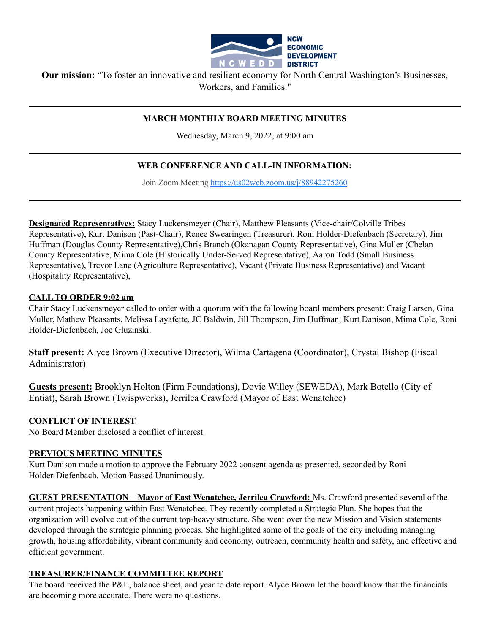

**Our mission:** "To foster an innovative and resilient economy for North Central Washington's Businesses, Workers, and Families."

### **MARCH MONTHLY BOARD MEETING MINUTES**

Wednesday, March 9, 2022, at 9:00 am

# **WEB CONFERENCE AND CALL-IN INFORMATION:**

Join Zoom Meeting <https://us02web.zoom.us/j/88942275260>

**Designated Representatives:** Stacy Luckensmeyer (Chair), Matthew Pleasants (Vice-chair/Colville Tribes Representative), Kurt Danison (Past-Chair), Renee Swearingen (Treasurer), Roni Holder-Diefenbach (Secretary), Jim Huffman (Douglas County Representative),Chris Branch (Okanagan County Representative), Gina Muller (Chelan County Representative, Mima Cole (Historically Under-Served Representative), Aaron Todd (Small Business Representative), Trevor Lane (Agriculture Representative), Vacant (Private Business Representative) and Vacant (Hospitality Representative),

### **CALL TO ORDER 9:02 am**

Chair Stacy Luckensmeyer called to order with a quorum with the following board members present: Craig Larsen, Gina Muller, Mathew Pleasants, Melissa Layafette, JC Baldwin, Jill Thompson, Jim Huffman, Kurt Danison, Mima Cole, Roni Holder-Diefenbach, Joe Gluzinski.

**Staff present:** Alyce Brown (Executive Director), Wilma Cartagena (Coordinator), Crystal Bishop (Fiscal Administrator)

**Guests present:** Brooklyn Holton (Firm Foundations), Dovie Willey (SEWEDA), Mark Botello (City of Entiat), Sarah Brown (Twispworks), Jerrilea Crawford (Mayor of East Wenatchee)

### **CONFLICT OF INTEREST**

No Board Member disclosed a conflict of interest.

### **PREVIOUS MEETING MINUTES**

Kurt Danison made a motion to approve the February 2022 consent agenda as presented, seconded by Roni Holder-Diefenbach. Motion Passed Unanimously.

**GUEST PRESENTATION—Mayor of East Wenatchee, Jerrilea Crawford:** Ms. Crawford presented several of the current projects happening within East Wenatchee. They recently completed a Strategic Plan. She hopes that the organization will evolve out of the current top-heavy structure. She went over the new Mission and Vision statements developed through the strategic planning process. She highlighted some of the goals of the city including managing growth, housing affordability, vibrant community and economy, outreach, community health and safety, and effective and efficient government.

## **TREASURER/FINANCE COMMITTEE REPORT**

The board received the P&L, balance sheet, and year to date report. Alyce Brown let the board know that the financials are becoming more accurate. There were no questions.